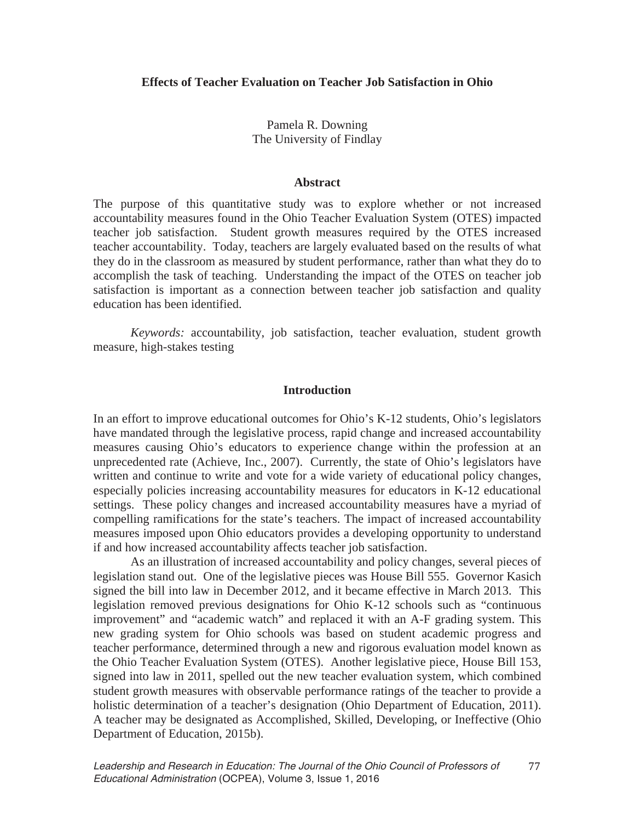Pamela R. Downing The University of Findlay

#### **Abstract**

The purpose of this quantitative study was to explore whether or not increased accountability measures found in the Ohio Teacher Evaluation System (OTES) impacted teacher job satisfaction. Student growth measures required by the OTES increased teacher accountability. Today, teachers are largely evaluated based on the results of what they do in the classroom as measured by student performance, rather than what they do to accomplish the task of teaching. Understanding the impact of the OTES on teacher job satisfaction is important as a connection between teacher job satisfaction and quality education has been identified.

*Keywords:* accountability, job satisfaction, teacher evaluation, student growth measure, high-stakes testing

#### **Introduction**

In an effort to improve educational outcomes for Ohio's K-12 students, Ohio's legislators have mandated through the legislative process, rapid change and increased accountability measures causing Ohio's educators to experience change within the profession at an unprecedented rate (Achieve, Inc., 2007). Currently, the state of Ohio's legislators have written and continue to write and vote for a wide variety of educational policy changes, especially policies increasing accountability measures for educators in K-12 educational settings. These policy changes and increased accountability measures have a myriad of compelling ramifications for the state's teachers. The impact of increased accountability measures imposed upon Ohio educators provides a developing opportunity to understand if and how increased accountability affects teacher job satisfaction.

As an illustration of increased accountability and policy changes, several pieces of legislation stand out. One of the legislative pieces was House Bill 555. Governor Kasich signed the bill into law in December 2012, and it became effective in March 2013. This legislation removed previous designations for Ohio K-12 schools such as "continuous improvement" and "academic watch" and replaced it with an A-F grading system. This new grading system for Ohio schools was based on student academic progress and teacher performance, determined through a new and rigorous evaluation model known as the Ohio Teacher Evaluation System (OTES). Another legislative piece, House Bill 153, signed into law in 2011, spelled out the new teacher evaluation system, which combined student growth measures with observable performance ratings of the teacher to provide a holistic determination of a teacher's designation (Ohio Department of Education, 2011). A teacher may be designated as Accomplished, Skilled, Developing, or Ineffective (Ohio Department of Education, 2015b).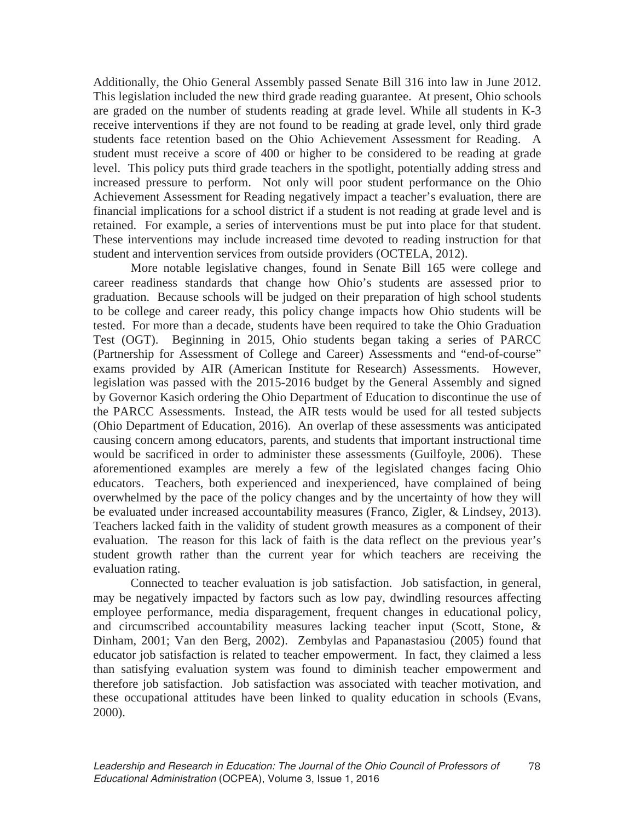Additionally, the Ohio General Assembly passed Senate Bill 316 into law in June 2012. This legislation included the new third grade reading guarantee. At present, Ohio schools are graded on the number of students reading at grade level. While all students in K-3 receive interventions if they are not found to be reading at grade level, only third grade students face retention based on the Ohio Achievement Assessment for Reading. A student must receive a score of 400 or higher to be considered to be reading at grade level. This policy puts third grade teachers in the spotlight, potentially adding stress and increased pressure to perform. Not only will poor student performance on the Ohio Achievement Assessment for Reading negatively impact a teacher's evaluation, there are financial implications for a school district if a student is not reading at grade level and is retained. For example, a series of interventions must be put into place for that student. These interventions may include increased time devoted to reading instruction for that student and intervention services from outside providers (OCTELA, 2012).

 More notable legislative changes, found in Senate Bill 165 were college and career readiness standards that change how Ohio's students are assessed prior to graduation. Because schools will be judged on their preparation of high school students to be college and career ready, this policy change impacts how Ohio students will be tested. For more than a decade, students have been required to take the Ohio Graduation Test (OGT). Beginning in 2015, Ohio students began taking a series of PARCC (Partnership for Assessment of College and Career) Assessments and "end-of-course" exams provided by AIR (American Institute for Research) Assessments. However, legislation was passed with the 2015-2016 budget by the General Assembly and signed by Governor Kasich ordering the Ohio Department of Education to discontinue the use of the PARCC Assessments. Instead, the AIR tests would be used for all tested subjects (Ohio Department of Education, 2016). An overlap of these assessments was anticipated causing concern among educators, parents, and students that important instructional time would be sacrificed in order to administer these assessments (Guilfoyle, 2006). These aforementioned examples are merely a few of the legislated changes facing Ohio educators. Teachers, both experienced and inexperienced, have complained of being overwhelmed by the pace of the policy changes and by the uncertainty of how they will be evaluated under increased accountability measures (Franco, Zigler, & Lindsey, 2013). Teachers lacked faith in the validity of student growth measures as a component of their evaluation. The reason for this lack of faith is the data reflect on the previous year's student growth rather than the current year for which teachers are receiving the evaluation rating.

Connected to teacher evaluation is job satisfaction. Job satisfaction, in general, may be negatively impacted by factors such as low pay, dwindling resources affecting employee performance, media disparagement, frequent changes in educational policy, and circumscribed accountability measures lacking teacher input (Scott, Stone, & Dinham, 2001; Van den Berg, 2002). Zembylas and Papanastasiou (2005) found that educator job satisfaction is related to teacher empowerment. In fact, they claimed a less than satisfying evaluation system was found to diminish teacher empowerment and therefore job satisfaction. Job satisfaction was associated with teacher motivation, and these occupational attitudes have been linked to quality education in schools (Evans, 2000).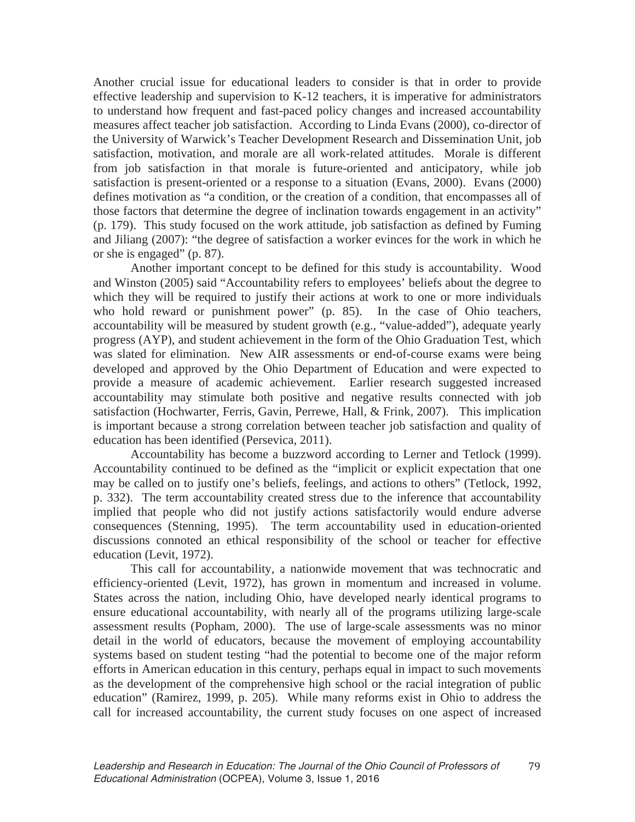Another crucial issue for educational leaders to consider is that in order to provide effective leadership and supervision to K-12 teachers, it is imperative for administrators to understand how frequent and fast-paced policy changes and increased accountability measures affect teacher job satisfaction. According to Linda Evans (2000), co-director of the University of Warwick's Teacher Development Research and Dissemination Unit, job satisfaction, motivation, and morale are all work-related attitudes. Morale is different from job satisfaction in that morale is future-oriented and anticipatory, while job satisfaction is present-oriented or a response to a situation (Evans, 2000). Evans (2000) defines motivation as "a condition, or the creation of a condition, that encompasses all of those factors that determine the degree of inclination towards engagement in an activity" (p. 179). This study focused on the work attitude, job satisfaction as defined by Fuming and Jiliang (2007): "the degree of satisfaction a worker evinces for the work in which he or she is engaged" (p. 87).

Another important concept to be defined for this study is accountability. Wood and Winston (2005) said "Accountability refers to employees' beliefs about the degree to which they will be required to justify their actions at work to one or more individuals who hold reward or punishment power" (p. 85). In the case of Ohio teachers, accountability will be measured by student growth (e.g., "value-added"), adequate yearly progress (AYP), and student achievement in the form of the Ohio Graduation Test, which was slated for elimination. New AIR assessments or end-of-course exams were being developed and approved by the Ohio Department of Education and were expected to provide a measure of academic achievement. Earlier research suggested increased accountability may stimulate both positive and negative results connected with job satisfaction (Hochwarter, Ferris, Gavin, Perrewe, Hall, & Frink, 2007). This implication is important because a strong correlation between teacher job satisfaction and quality of education has been identified (Persevica, 2011).

Accountability has become a buzzword according to Lerner and Tetlock (1999). Accountability continued to be defined as the "implicit or explicit expectation that one may be called on to justify one's beliefs, feelings, and actions to others" (Tetlock, 1992, p. 332). The term accountability created stress due to the inference that accountability implied that people who did not justify actions satisfactorily would endure adverse consequences (Stenning, 1995). The term accountability used in education-oriented discussions connoted an ethical responsibility of the school or teacher for effective education (Levit, 1972).

This call for accountability, a nationwide movement that was technocratic and efficiency-oriented (Levit, 1972), has grown in momentum and increased in volume. States across the nation, including Ohio, have developed nearly identical programs to ensure educational accountability, with nearly all of the programs utilizing large-scale assessment results (Popham, 2000). The use of large-scale assessments was no minor detail in the world of educators, because the movement of employing accountability systems based on student testing "had the potential to become one of the major reform efforts in American education in this century, perhaps equal in impact to such movements as the development of the comprehensive high school or the racial integration of public education" (Ramirez, 1999, p. 205). While many reforms exist in Ohio to address the call for increased accountability, the current study focuses on one aspect of increased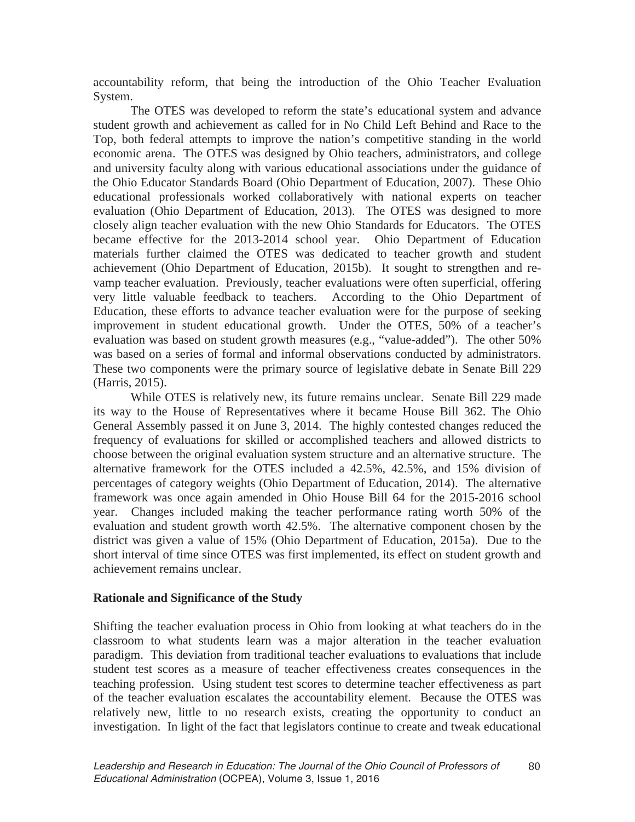accountability reform, that being the introduction of the Ohio Teacher Evaluation System.

The OTES was developed to reform the state's educational system and advance student growth and achievement as called for in No Child Left Behind and Race to the Top, both federal attempts to improve the nation's competitive standing in the world economic arena. The OTES was designed by Ohio teachers, administrators, and college and university faculty along with various educational associations under the guidance of the Ohio Educator Standards Board (Ohio Department of Education, 2007). These Ohio educational professionals worked collaboratively with national experts on teacher evaluation (Ohio Department of Education, 2013). The OTES was designed to more closely align teacher evaluation with the new Ohio Standards for Educators. The OTES became effective for the 2013-2014 school year. Ohio Department of Education materials further claimed the OTES was dedicated to teacher growth and student achievement (Ohio Department of Education, 2015b). It sought to strengthen and revamp teacher evaluation. Previously, teacher evaluations were often superficial, offering very little valuable feedback to teachers. According to the Ohio Department of Education, these efforts to advance teacher evaluation were for the purpose of seeking improvement in student educational growth. Under the OTES, 50% of a teacher's evaluation was based on student growth measures (e.g., "value-added"). The other 50% was based on a series of formal and informal observations conducted by administrators. These two components were the primary source of legislative debate in Senate Bill 229 (Harris, 2015).

While OTES is relatively new, its future remains unclear. Senate Bill 229 made its way to the House of Representatives where it became House Bill 362. The Ohio General Assembly passed it on June 3, 2014. The highly contested changes reduced the frequency of evaluations for skilled or accomplished teachers and allowed districts to choose between the original evaluation system structure and an alternative structure. The alternative framework for the OTES included a 42.5%, 42.5%, and 15% division of percentages of category weights (Ohio Department of Education, 2014). The alternative framework was once again amended in Ohio House Bill 64 for the 2015-2016 school year. Changes included making the teacher performance rating worth 50% of the evaluation and student growth worth 42.5%. The alternative component chosen by the district was given a value of 15% (Ohio Department of Education, 2015a). Due to the short interval of time since OTES was first implemented, its effect on student growth and achievement remains unclear.

## **Rationale and Significance of the Study**

Shifting the teacher evaluation process in Ohio from looking at what teachers do in the classroom to what students learn was a major alteration in the teacher evaluation paradigm. This deviation from traditional teacher evaluations to evaluations that include student test scores as a measure of teacher effectiveness creates consequences in the teaching profession. Using student test scores to determine teacher effectiveness as part of the teacher evaluation escalates the accountability element. Because the OTES was relatively new, little to no research exists, creating the opportunity to conduct an investigation. In light of the fact that legislators continue to create and tweak educational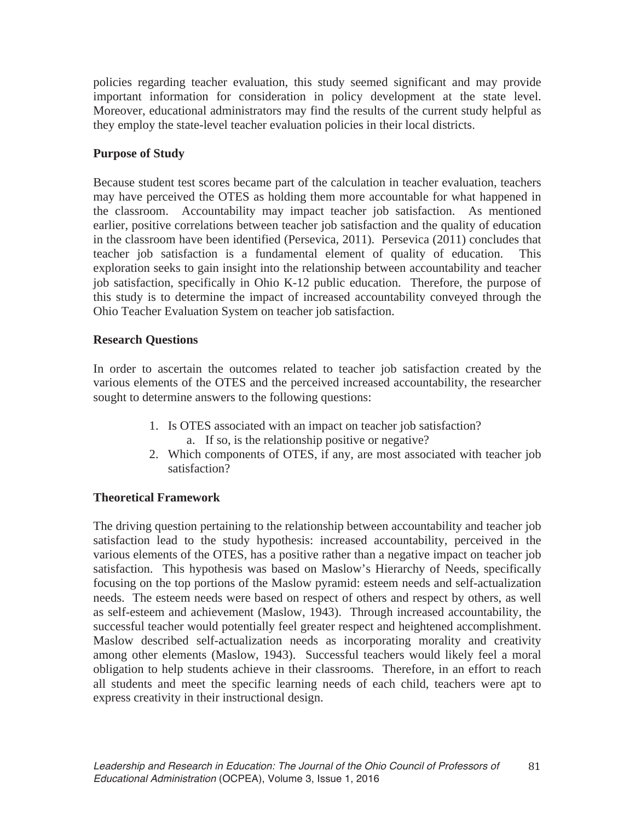policies regarding teacher evaluation, this study seemed significant and may provide important information for consideration in policy development at the state level. Moreover, educational administrators may find the results of the current study helpful as they employ the state-level teacher evaluation policies in their local districts.

# **Purpose of Study**

Because student test scores became part of the calculation in teacher evaluation, teachers may have perceived the OTES as holding them more accountable for what happened in the classroom. Accountability may impact teacher job satisfaction. As mentioned earlier, positive correlations between teacher job satisfaction and the quality of education in the classroom have been identified (Persevica, 2011). Persevica (2011) concludes that teacher job satisfaction is a fundamental element of quality of education. This exploration seeks to gain insight into the relationship between accountability and teacher job satisfaction, specifically in Ohio K-12 public education. Therefore, the purpose of this study is to determine the impact of increased accountability conveyed through the Ohio Teacher Evaluation System on teacher job satisfaction.

# **Research Questions**

In order to ascertain the outcomes related to teacher job satisfaction created by the various elements of the OTES and the perceived increased accountability, the researcher sought to determine answers to the following questions:

- 1. Is OTES associated with an impact on teacher job satisfaction?
	- a. If so, is the relationship positive or negative?
- 2. Which components of OTES, if any, are most associated with teacher job satisfaction?

# **Theoretical Framework**

The driving question pertaining to the relationship between accountability and teacher job satisfaction lead to the study hypothesis: increased accountability, perceived in the various elements of the OTES, has a positive rather than a negative impact on teacher job satisfaction. This hypothesis was based on Maslow's Hierarchy of Needs, specifically focusing on the top portions of the Maslow pyramid: esteem needs and self-actualization needs. The esteem needs were based on respect of others and respect by others, as well as self-esteem and achievement (Maslow, 1943). Through increased accountability, the successful teacher would potentially feel greater respect and heightened accomplishment. Maslow described self-actualization needs as incorporating morality and creativity among other elements (Maslow, 1943). Successful teachers would likely feel a moral obligation to help students achieve in their classrooms. Therefore, in an effort to reach all students and meet the specific learning needs of each child, teachers were apt to express creativity in their instructional design.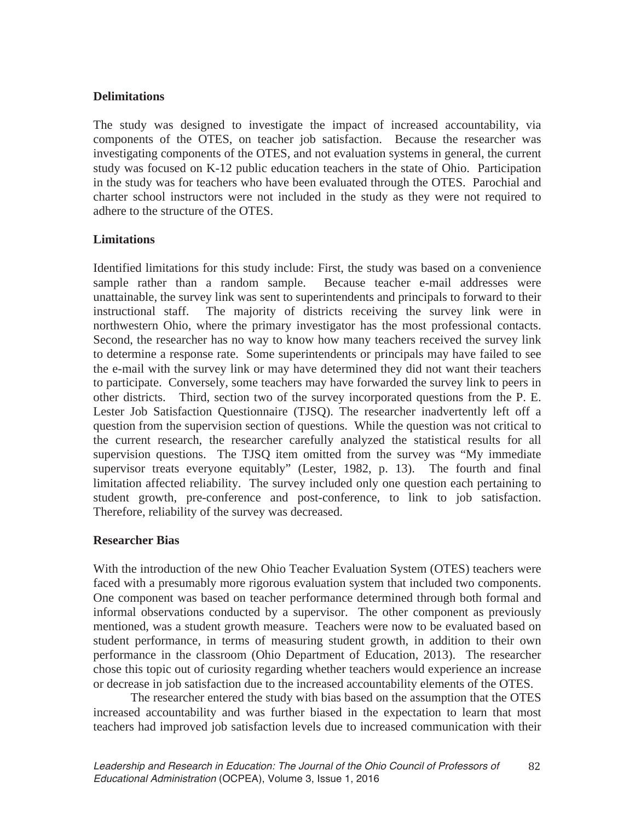## **Delimitations**

The study was designed to investigate the impact of increased accountability, via components of the OTES, on teacher job satisfaction. Because the researcher was investigating components of the OTES, and not evaluation systems in general, the current study was focused on K-12 public education teachers in the state of Ohio. Participation in the study was for teachers who have been evaluated through the OTES. Parochial and charter school instructors were not included in the study as they were not required to adhere to the structure of the OTES.

# **Limitations**

Identified limitations for this study include: First, the study was based on a convenience sample rather than a random sample. Because teacher e-mail addresses were unattainable, the survey link was sent to superintendents and principals to forward to their instructional staff. The majority of districts receiving the survey link were in northwestern Ohio, where the primary investigator has the most professional contacts. Second, the researcher has no way to know how many teachers received the survey link to determine a response rate. Some superintendents or principals may have failed to see the e-mail with the survey link or may have determined they did not want their teachers to participate. Conversely, some teachers may have forwarded the survey link to peers in other districts. Third, section two of the survey incorporated questions from the P. E. Lester Job Satisfaction Questionnaire (TJSQ). The researcher inadvertently left off a question from the supervision section of questions. While the question was not critical to the current research, the researcher carefully analyzed the statistical results for all supervision questions. The TJSQ item omitted from the survey was "My immediate supervisor treats everyone equitably" (Lester, 1982, p. 13). The fourth and final limitation affected reliability. The survey included only one question each pertaining to student growth, pre-conference and post-conference, to link to job satisfaction. Therefore, reliability of the survey was decreased.

## **Researcher Bias**

With the introduction of the new Ohio Teacher Evaluation System (OTES) teachers were faced with a presumably more rigorous evaluation system that included two components. One component was based on teacher performance determined through both formal and informal observations conducted by a supervisor. The other component as previously mentioned, was a student growth measure. Teachers were now to be evaluated based on student performance, in terms of measuring student growth, in addition to their own performance in the classroom (Ohio Department of Education, 2013). The researcher chose this topic out of curiosity regarding whether teachers would experience an increase or decrease in job satisfaction due to the increased accountability elements of the OTES.

The researcher entered the study with bias based on the assumption that the OTES increased accountability and was further biased in the expectation to learn that most teachers had improved job satisfaction levels due to increased communication with their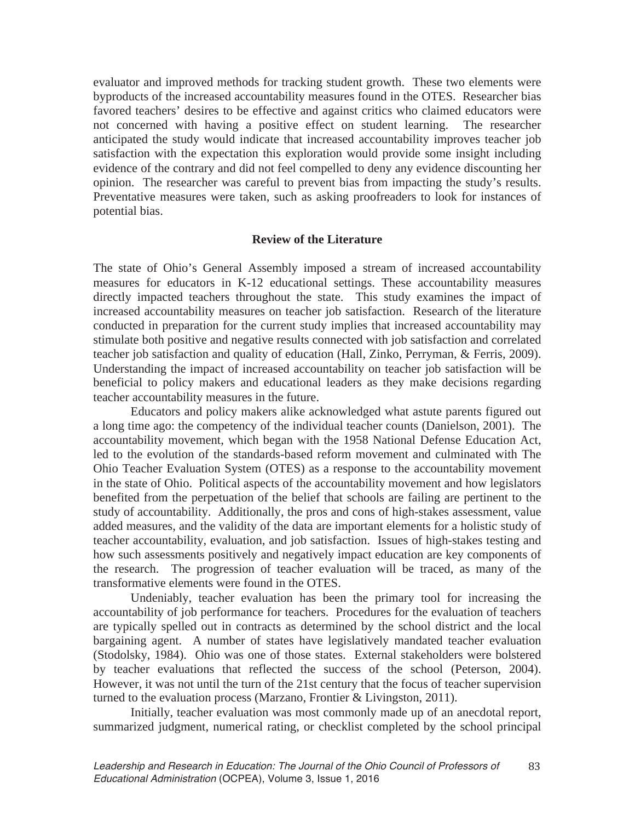evaluator and improved methods for tracking student growth. These two elements were byproducts of the increased accountability measures found in the OTES. Researcher bias favored teachers' desires to be effective and against critics who claimed educators were not concerned with having a positive effect on student learning. The researcher anticipated the study would indicate that increased accountability improves teacher job satisfaction with the expectation this exploration would provide some insight including evidence of the contrary and did not feel compelled to deny any evidence discounting her opinion. The researcher was careful to prevent bias from impacting the study's results. Preventative measures were taken, such as asking proofreaders to look for instances of potential bias.

#### **Review of the Literature**

The state of Ohio's General Assembly imposed a stream of increased accountability measures for educators in K-12 educational settings. These accountability measures directly impacted teachers throughout the state. This study examines the impact of increased accountability measures on teacher job satisfaction. Research of the literature conducted in preparation for the current study implies that increased accountability may stimulate both positive and negative results connected with job satisfaction and correlated teacher job satisfaction and quality of education (Hall, Zinko, Perryman, & Ferris, 2009). Understanding the impact of increased accountability on teacher job satisfaction will be beneficial to policy makers and educational leaders as they make decisions regarding teacher accountability measures in the future.

Educators and policy makers alike acknowledged what astute parents figured out a long time ago: the competency of the individual teacher counts (Danielson, 2001). The accountability movement, which began with the 1958 National Defense Education Act, led to the evolution of the standards-based reform movement and culminated with The Ohio Teacher Evaluation System (OTES) as a response to the accountability movement in the state of Ohio. Political aspects of the accountability movement and how legislators benefited from the perpetuation of the belief that schools are failing are pertinent to the study of accountability. Additionally, the pros and cons of high-stakes assessment, value added measures, and the validity of the data are important elements for a holistic study of teacher accountability, evaluation, and job satisfaction. Issues of high-stakes testing and how such assessments positively and negatively impact education are key components of the research. The progression of teacher evaluation will be traced, as many of the transformative elements were found in the OTES.

Undeniably, teacher evaluation has been the primary tool for increasing the accountability of job performance for teachers. Procedures for the evaluation of teachers are typically spelled out in contracts as determined by the school district and the local bargaining agent. A number of states have legislatively mandated teacher evaluation (Stodolsky, 1984). Ohio was one of those states. External stakeholders were bolstered by teacher evaluations that reflected the success of the school (Peterson, 2004). However, it was not until the turn of the 21st century that the focus of teacher supervision turned to the evaluation process (Marzano, Frontier & Livingston, 2011).

Initially, teacher evaluation was most commonly made up of an anecdotal report, summarized judgment, numerical rating, or checklist completed by the school principal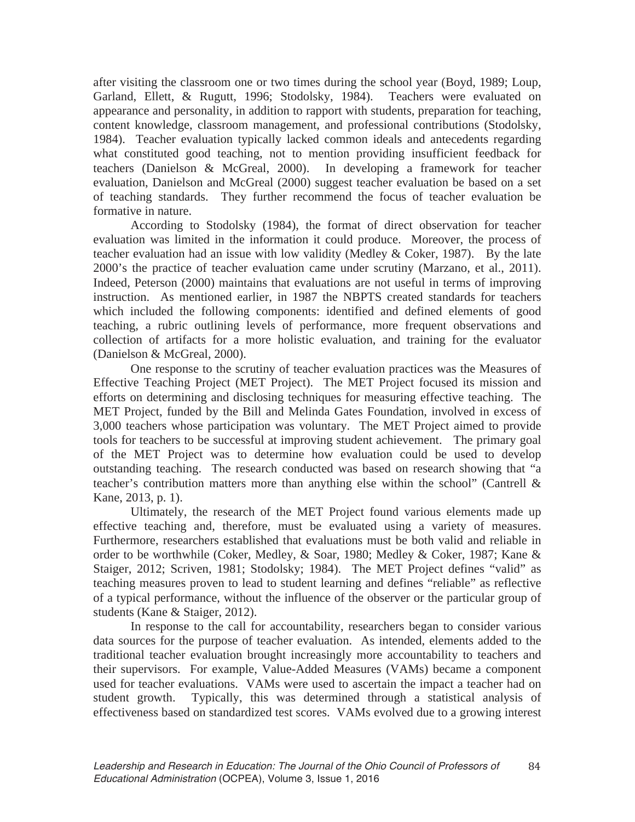after visiting the classroom one or two times during the school year (Boyd, 1989; Loup, Garland, Ellett, & Rugutt, 1996; Stodolsky, 1984). Teachers were evaluated on appearance and personality, in addition to rapport with students, preparation for teaching, content knowledge, classroom management, and professional contributions (Stodolsky, 1984). Teacher evaluation typically lacked common ideals and antecedents regarding what constituted good teaching, not to mention providing insufficient feedback for teachers (Danielson & McGreal, 2000). In developing a framework for teacher evaluation, Danielson and McGreal (2000) suggest teacher evaluation be based on a set of teaching standards. They further recommend the focus of teacher evaluation be formative in nature.

According to Stodolsky (1984), the format of direct observation for teacher evaluation was limited in the information it could produce. Moreover, the process of teacher evaluation had an issue with low validity (Medley & Coker, 1987). By the late 2000's the practice of teacher evaluation came under scrutiny (Marzano, et al., 2011). Indeed, Peterson (2000) maintains that evaluations are not useful in terms of improving instruction. As mentioned earlier, in 1987 the NBPTS created standards for teachers which included the following components: identified and defined elements of good teaching, a rubric outlining levels of performance, more frequent observations and collection of artifacts for a more holistic evaluation, and training for the evaluator (Danielson & McGreal, 2000).

One response to the scrutiny of teacher evaluation practices was the Measures of Effective Teaching Project (MET Project). The MET Project focused its mission and efforts on determining and disclosing techniques for measuring effective teaching. The MET Project, funded by the Bill and Melinda Gates Foundation, involved in excess of 3,000 teachers whose participation was voluntary. The MET Project aimed to provide tools for teachers to be successful at improving student achievement. The primary goal of the MET Project was to determine how evaluation could be used to develop outstanding teaching. The research conducted was based on research showing that "a teacher's contribution matters more than anything else within the school" (Cantrell & Kane, 2013, p. 1).

Ultimately, the research of the MET Project found various elements made up effective teaching and, therefore, must be evaluated using a variety of measures. Furthermore, researchers established that evaluations must be both valid and reliable in order to be worthwhile (Coker, Medley, & Soar, 1980; Medley & Coker, 1987; Kane & Staiger, 2012; Scriven, 1981; Stodolsky; 1984). The MET Project defines "valid" as teaching measures proven to lead to student learning and defines "reliable" as reflective of a typical performance, without the influence of the observer or the particular group of students (Kane & Staiger, 2012).

In response to the call for accountability, researchers began to consider various data sources for the purpose of teacher evaluation. As intended, elements added to the traditional teacher evaluation brought increasingly more accountability to teachers and their supervisors. For example, Value-Added Measures (VAMs) became a component used for teacher evaluations. VAMs were used to ascertain the impact a teacher had on student growth. Typically, this was determined through a statistical analysis of effectiveness based on standardized test scores. VAMs evolved due to a growing interest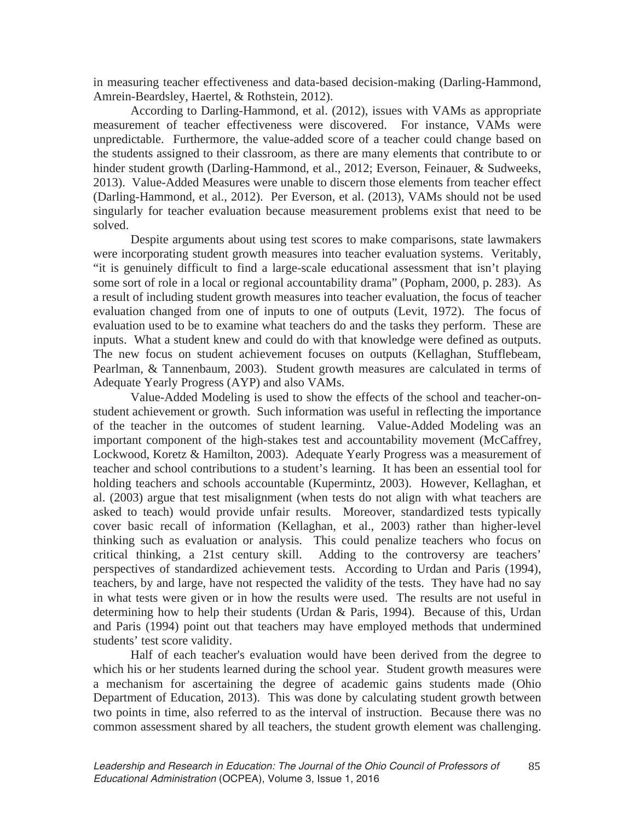in measuring teacher effectiveness and data-based decision-making (Darling-Hammond, Amrein-Beardsley, Haertel, & Rothstein, 2012).

According to Darling-Hammond, et al. (2012), issues with VAMs as appropriate measurement of teacher effectiveness were discovered. For instance, VAMs were unpredictable. Furthermore, the value-added score of a teacher could change based on the students assigned to their classroom, as there are many elements that contribute to or hinder student growth (Darling-Hammond, et al., 2012; Everson, Feinauer, & Sudweeks, 2013). Value-Added Measures were unable to discern those elements from teacher effect (Darling-Hammond, et al., 2012). Per Everson, et al. (2013), VAMs should not be used singularly for teacher evaluation because measurement problems exist that need to be solved.

Despite arguments about using test scores to make comparisons, state lawmakers were incorporating student growth measures into teacher evaluation systems. Veritably, "it is genuinely difficult to find a large-scale educational assessment that isn't playing some sort of role in a local or regional accountability drama" (Popham, 2000, p. 283). As a result of including student growth measures into teacher evaluation, the focus of teacher evaluation changed from one of inputs to one of outputs (Levit, 1972). The focus of evaluation used to be to examine what teachers do and the tasks they perform. These are inputs. What a student knew and could do with that knowledge were defined as outputs. The new focus on student achievement focuses on outputs (Kellaghan, Stufflebeam, Pearlman, & Tannenbaum, 2003). Student growth measures are calculated in terms of Adequate Yearly Progress (AYP) and also VAMs.

Value-Added Modeling is used to show the effects of the school and teacher-onstudent achievement or growth. Such information was useful in reflecting the importance of the teacher in the outcomes of student learning. Value-Added Modeling was an important component of the high-stakes test and accountability movement (McCaffrey, Lockwood, Koretz & Hamilton, 2003). Adequate Yearly Progress was a measurement of teacher and school contributions to a student's learning. It has been an essential tool for holding teachers and schools accountable (Kupermintz, 2003). However, Kellaghan, et al. (2003) argue that test misalignment (when tests do not align with what teachers are asked to teach) would provide unfair results. Moreover, standardized tests typically cover basic recall of information (Kellaghan, et al., 2003) rather than higher-level thinking such as evaluation or analysis. This could penalize teachers who focus on critical thinking, a 21st century skill. Adding to the controversy are teachers' perspectives of standardized achievement tests. According to Urdan and Paris (1994), teachers, by and large, have not respected the validity of the tests. They have had no say in what tests were given or in how the results were used. The results are not useful in determining how to help their students (Urdan & Paris, 1994). Because of this, Urdan and Paris (1994) point out that teachers may have employed methods that undermined students' test score validity.

Half of each teacher's evaluation would have been derived from the degree to which his or her students learned during the school year. Student growth measures were a mechanism for ascertaining the degree of academic gains students made (Ohio Department of Education, 2013). This was done by calculating student growth between two points in time, also referred to as the interval of instruction. Because there was no common assessment shared by all teachers, the student growth element was challenging.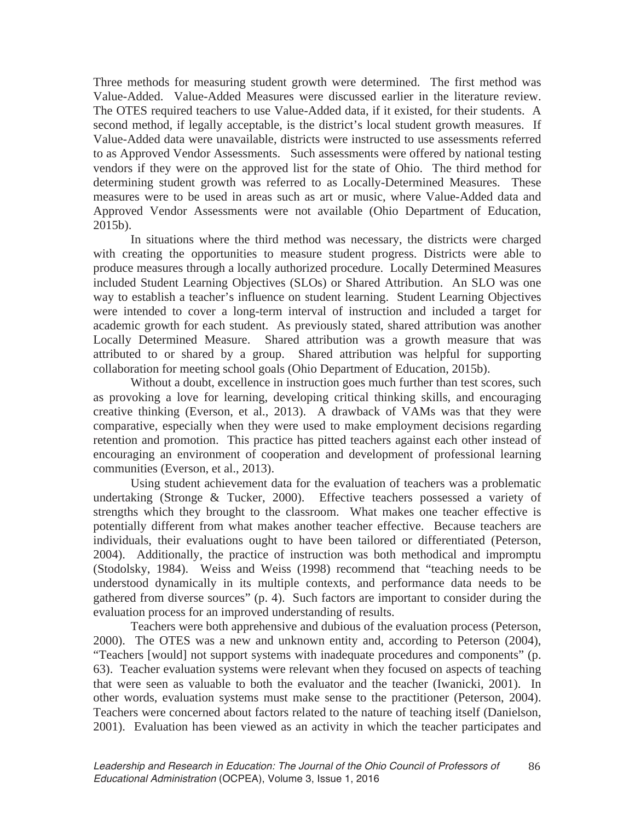Three methods for measuring student growth were determined. The first method was Value-Added. Value-Added Measures were discussed earlier in the literature review. The OTES required teachers to use Value-Added data, if it existed, for their students. A second method, if legally acceptable, is the district's local student growth measures. If Value-Added data were unavailable, districts were instructed to use assessments referred to as Approved Vendor Assessments. Such assessments were offered by national testing vendors if they were on the approved list for the state of Ohio. The third method for determining student growth was referred to as Locally-Determined Measures. These measures were to be used in areas such as art or music, where Value-Added data and Approved Vendor Assessments were not available (Ohio Department of Education, 2015b).

In situations where the third method was necessary, the districts were charged with creating the opportunities to measure student progress. Districts were able to produce measures through a locally authorized procedure. Locally Determined Measures included Student Learning Objectives (SLOs) or Shared Attribution. An SLO was one way to establish a teacher's influence on student learning. Student Learning Objectives were intended to cover a long-term interval of instruction and included a target for academic growth for each student. As previously stated, shared attribution was another Locally Determined Measure. Shared attribution was a growth measure that was attributed to or shared by a group. Shared attribution was helpful for supporting collaboration for meeting school goals (Ohio Department of Education, 2015b).

Without a doubt, excellence in instruction goes much further than test scores, such as provoking a love for learning, developing critical thinking skills, and encouraging creative thinking (Everson, et al., 2013). A drawback of VAMs was that they were comparative, especially when they were used to make employment decisions regarding retention and promotion. This practice has pitted teachers against each other instead of encouraging an environment of cooperation and development of professional learning communities (Everson, et al., 2013).

Using student achievement data for the evaluation of teachers was a problematic undertaking (Stronge & Tucker, 2000). Effective teachers possessed a variety of strengths which they brought to the classroom. What makes one teacher effective is potentially different from what makes another teacher effective. Because teachers are individuals, their evaluations ought to have been tailored or differentiated (Peterson, 2004). Additionally, the practice of instruction was both methodical and impromptu (Stodolsky, 1984). Weiss and Weiss (1998) recommend that "teaching needs to be understood dynamically in its multiple contexts, and performance data needs to be gathered from diverse sources" (p. 4). Such factors are important to consider during the evaluation process for an improved understanding of results.

 Teachers were both apprehensive and dubious of the evaluation process (Peterson, 2000). The OTES was a new and unknown entity and, according to Peterson (2004), "Teachers [would] not support systems with inadequate procedures and components" (p. 63). Teacher evaluation systems were relevant when they focused on aspects of teaching that were seen as valuable to both the evaluator and the teacher (Iwanicki, 2001). In other words, evaluation systems must make sense to the practitioner (Peterson, 2004). Teachers were concerned about factors related to the nature of teaching itself (Danielson, 2001). Evaluation has been viewed as an activity in which the teacher participates and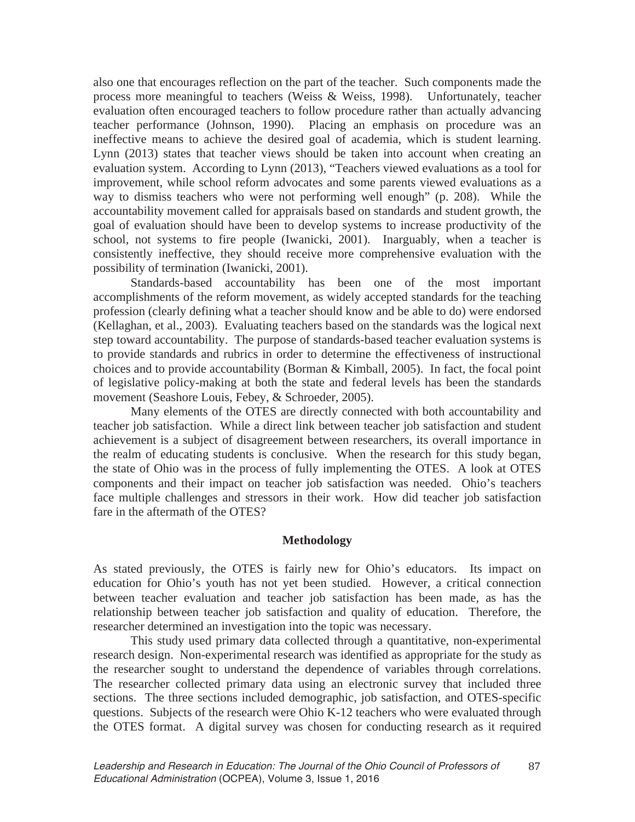also one that encourages reflection on the part of the teacher. Such components made the process more meaningful to teachers (Weiss & Weiss, 1998). Unfortunately, teacher evaluation often encouraged teachers to follow procedure rather than actually advancing teacher performance (Johnson, 1990). Placing an emphasis on procedure was an ineffective means to achieve the desired goal of academia, which is student learning. Lynn (2013) states that teacher views should be taken into account when creating an evaluation system. According to Lynn (2013), "Teachers viewed evaluations as a tool for improvement, while school reform advocates and some parents viewed evaluations as a way to dismiss teachers who were not performing well enough" (p. 208). While the accountability movement called for appraisals based on standards and student growth, the goal of evaluation should have been to develop systems to increase productivity of the school, not systems to fire people (Iwanicki, 2001). Inarguably, when a teacher is consistently ineffective, they should receive more comprehensive evaluation with the possibility of termination (Iwanicki, 2001).

Standards-based accountability has been one of the most important accomplishments of the reform movement, as widely accepted standards for the teaching profession (clearly defining what a teacher should know and be able to do) were endorsed (Kellaghan, et al., 2003). Evaluating teachers based on the standards was the logical next step toward accountability. The purpose of standards-based teacher evaluation systems is to provide standards and rubrics in order to determine the effectiveness of instructional choices and to provide accountability (Borman & Kimball, 2005). In fact, the focal point of legislative policy-making at both the state and federal levels has been the standards movement (Seashore Louis, Febey, & Schroeder, 2005).

 Many elements of the OTES are directly connected with both accountability and teacher job satisfaction. While a direct link between teacher job satisfaction and student achievement is a subject of disagreement between researchers, its overall importance in the realm of educating students is conclusive. When the research for this study began, the state of Ohio was in the process of fully implementing the OTES. A look at OTES components and their impact on teacher job satisfaction was needed. Ohio's teachers face multiple challenges and stressors in their work. How did teacher job satisfaction fare in the aftermath of the OTES?

### **Methodology**

As stated previously, the OTES is fairly new for Ohio's educators. Its impact on education for Ohio's youth has not yet been studied. However, a critical connection between teacher evaluation and teacher job satisfaction has been made, as has the relationship between teacher job satisfaction and quality of education. Therefore, the researcher determined an investigation into the topic was necessary.

This study used primary data collected through a quantitative, non-experimental research design. Non-experimental research was identified as appropriate for the study as the researcher sought to understand the dependence of variables through correlations. The researcher collected primary data using an electronic survey that included three sections. The three sections included demographic, job satisfaction, and OTES-specific questions. Subjects of the research were Ohio K-12 teachers who were evaluated through the OTES format. A digital survey was chosen for conducting research as it required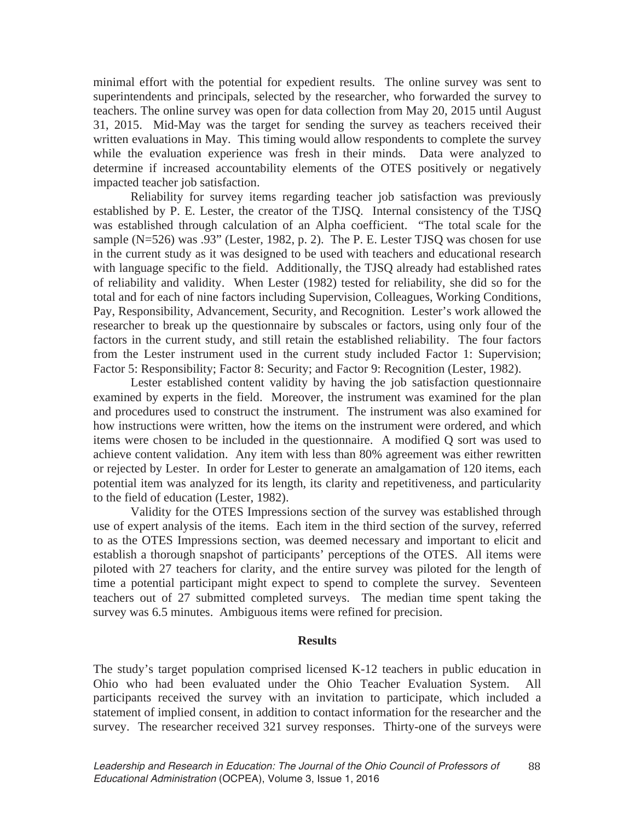minimal effort with the potential for expedient results. The online survey was sent to superintendents and principals, selected by the researcher, who forwarded the survey to teachers. The online survey was open for data collection from May 20, 2015 until August 31, 2015. Mid-May was the target for sending the survey as teachers received their written evaluations in May. This timing would allow respondents to complete the survey while the evaluation experience was fresh in their minds. Data were analyzed to determine if increased accountability elements of the OTES positively or negatively impacted teacher job satisfaction.

Reliability for survey items regarding teacher job satisfaction was previously established by P. E. Lester, the creator of the TJSQ. Internal consistency of the TJSQ was established through calculation of an Alpha coefficient. "The total scale for the sample (N=526) was .93" (Lester, 1982, p. 2). The P. E. Lester TJSQ was chosen for use in the current study as it was designed to be used with teachers and educational research with language specific to the field. Additionally, the TJSQ already had established rates of reliability and validity. When Lester (1982) tested for reliability, she did so for the total and for each of nine factors including Supervision, Colleagues, Working Conditions, Pay, Responsibility, Advancement, Security, and Recognition. Lester's work allowed the researcher to break up the questionnaire by subscales or factors, using only four of the factors in the current study, and still retain the established reliability. The four factors from the Lester instrument used in the current study included Factor 1: Supervision; Factor 5: Responsibility; Factor 8: Security; and Factor 9: Recognition (Lester, 1982).

Lester established content validity by having the job satisfaction questionnaire examined by experts in the field. Moreover, the instrument was examined for the plan and procedures used to construct the instrument. The instrument was also examined for how instructions were written, how the items on the instrument were ordered, and which items were chosen to be included in the questionnaire. A modified Q sort was used to achieve content validation. Any item with less than 80% agreement was either rewritten or rejected by Lester. In order for Lester to generate an amalgamation of 120 items, each potential item was analyzed for its length, its clarity and repetitiveness, and particularity to the field of education (Lester, 1982).

Validity for the OTES Impressions section of the survey was established through use of expert analysis of the items. Each item in the third section of the survey, referred to as the OTES Impressions section, was deemed necessary and important to elicit and establish a thorough snapshot of participants' perceptions of the OTES. All items were piloted with 27 teachers for clarity, and the entire survey was piloted for the length of time a potential participant might expect to spend to complete the survey. Seventeen teachers out of 27 submitted completed surveys. The median time spent taking the survey was 6.5 minutes. Ambiguous items were refined for precision.

### **Results**

The study's target population comprised licensed K-12 teachers in public education in Ohio who had been evaluated under the Ohio Teacher Evaluation System. All participants received the survey with an invitation to participate, which included a statement of implied consent, in addition to contact information for the researcher and the survey. The researcher received 321 survey responses. Thirty-one of the surveys were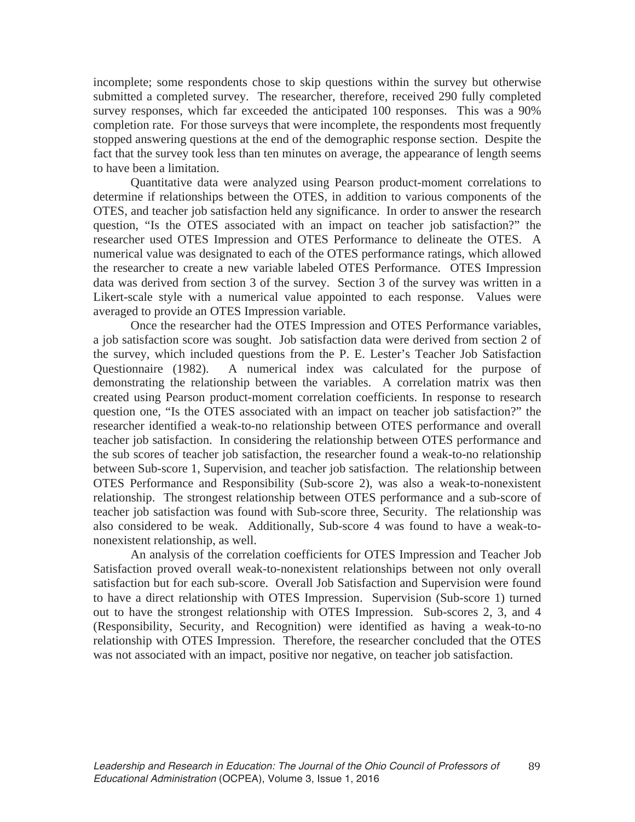incomplete; some respondents chose to skip questions within the survey but otherwise submitted a completed survey. The researcher, therefore, received 290 fully completed survey responses, which far exceeded the anticipated 100 responses. This was a 90% completion rate. For those surveys that were incomplete, the respondents most frequently stopped answering questions at the end of the demographic response section. Despite the fact that the survey took less than ten minutes on average, the appearance of length seems to have been a limitation.

Quantitative data were analyzed using Pearson product-moment correlations to determine if relationships between the OTES, in addition to various components of the OTES, and teacher job satisfaction held any significance. In order to answer the research question, "Is the OTES associated with an impact on teacher job satisfaction?" the researcher used OTES Impression and OTES Performance to delineate the OTES. A numerical value was designated to each of the OTES performance ratings, which allowed the researcher to create a new variable labeled OTES Performance. OTES Impression data was derived from section 3 of the survey. Section 3 of the survey was written in a Likert-scale style with a numerical value appointed to each response. Values were averaged to provide an OTES Impression variable.

Once the researcher had the OTES Impression and OTES Performance variables, a job satisfaction score was sought. Job satisfaction data were derived from section 2 of the survey, which included questions from the P. E. Lester's Teacher Job Satisfaction Questionnaire (1982). A numerical index was calculated for the purpose of demonstrating the relationship between the variables. A correlation matrix was then created using Pearson product-moment correlation coefficients. In response to research question one, "Is the OTES associated with an impact on teacher job satisfaction?" the researcher identified a weak-to-no relationship between OTES performance and overall teacher job satisfaction. In considering the relationship between OTES performance and the sub scores of teacher job satisfaction, the researcher found a weak-to-no relationship between Sub-score 1, Supervision, and teacher job satisfaction. The relationship between OTES Performance and Responsibility (Sub-score 2), was also a weak-to-nonexistent relationship. The strongest relationship between OTES performance and a sub-score of teacher job satisfaction was found with Sub-score three, Security. The relationship was also considered to be weak. Additionally, Sub-score 4 was found to have a weak-tononexistent relationship, as well.

An analysis of the correlation coefficients for OTES Impression and Teacher Job Satisfaction proved overall weak-to-nonexistent relationships between not only overall satisfaction but for each sub-score. Overall Job Satisfaction and Supervision were found to have a direct relationship with OTES Impression. Supervision (Sub-score 1) turned out to have the strongest relationship with OTES Impression. Sub-scores 2, 3, and 4 (Responsibility, Security, and Recognition) were identified as having a weak-to-no relationship with OTES Impression. Therefore, the researcher concluded that the OTES was not associated with an impact, positive nor negative, on teacher job satisfaction.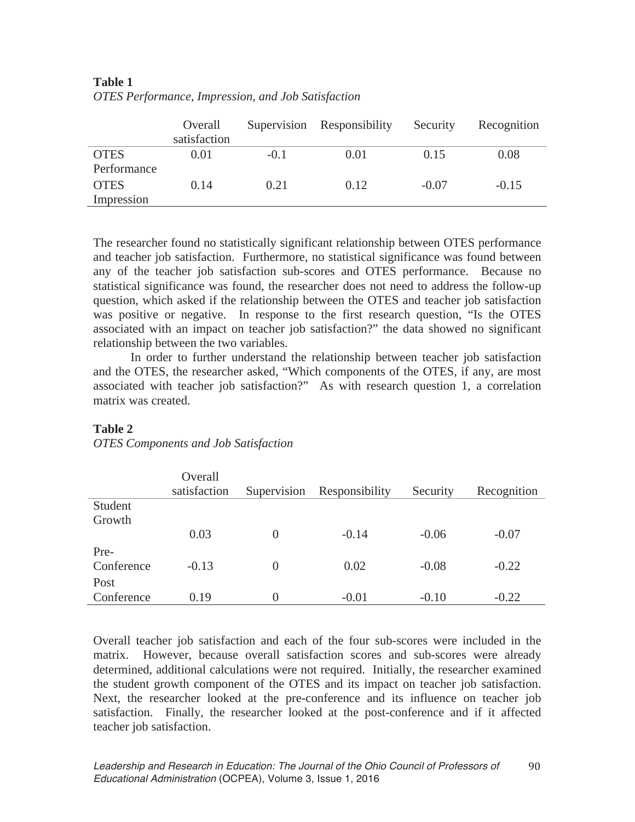|             | Overall<br>satisfaction |        | Supervision Responsibility | Security | Recognition |
|-------------|-------------------------|--------|----------------------------|----------|-------------|
| <b>OTES</b> | 0.01                    | $-0.1$ | 0.01                       | 0.15     | 0.08        |
| Performance |                         |        |                            |          |             |
| <b>OTES</b> | 0.14                    | 0.21   | 0.12                       | $-0.07$  | $-0.15$     |
| Impression  |                         |        |                            |          |             |
|             |                         |        |                            |          |             |

# **Table 1**  *OTES Performance, Impression, and Job Satisfaction*

The researcher found no statistically significant relationship between OTES performance and teacher job satisfaction. Furthermore, no statistical significance was found between any of the teacher job satisfaction sub-scores and OTES performance. Because no statistical significance was found, the researcher does not need to address the follow-up question, which asked if the relationship between the OTES and teacher job satisfaction was positive or negative. In response to the first research question, "Is the OTES associated with an impact on teacher job satisfaction?" the data showed no significant relationship between the two variables.

In order to further understand the relationship between teacher job satisfaction and the OTES, the researcher asked, "Which components of the OTES, if any, are most associated with teacher job satisfaction?" As with research question 1, a correlation matrix was created.

## **Table 2**

### *OTES Components and Job Satisfaction*

|            | Overall      |                |                |          |             |
|------------|--------------|----------------|----------------|----------|-------------|
|            | satisfaction | Supervision    | Responsibility | Security | Recognition |
| Student    |              |                |                |          |             |
| Growth     |              |                |                |          |             |
|            | 0.03         | $\overline{0}$ | $-0.14$        | $-0.06$  | $-0.07$     |
| Pre-       |              |                |                |          |             |
| Conference | $-0.13$      | $\overline{0}$ | 0.02           | $-0.08$  | $-0.22$     |
| Post       |              |                |                |          |             |
| Conference | 0.19         | $\theta$       | $-0.01$        | $-0.10$  | $-0.22$     |

Overall teacher job satisfaction and each of the four sub-scores were included in the matrix. However, because overall satisfaction scores and sub-scores were already determined, additional calculations were not required. Initially, the researcher examined the student growth component of the OTES and its impact on teacher job satisfaction. Next, the researcher looked at the pre-conference and its influence on teacher job satisfaction. Finally, the researcher looked at the post-conference and if it affected teacher job satisfaction.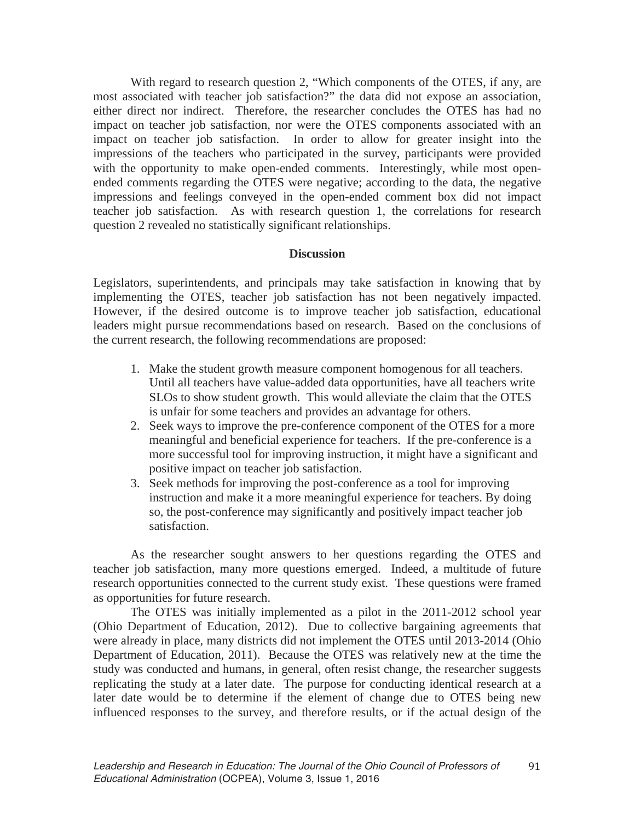With regard to research question 2, "Which components of the OTES, if any, are most associated with teacher job satisfaction?" the data did not expose an association, either direct nor indirect. Therefore, the researcher concludes the OTES has had no impact on teacher job satisfaction, nor were the OTES components associated with an impact on teacher job satisfaction. In order to allow for greater insight into the impressions of the teachers who participated in the survey, participants were provided with the opportunity to make open-ended comments. Interestingly, while most openended comments regarding the OTES were negative; according to the data, the negative impressions and feelings conveyed in the open-ended comment box did not impact teacher job satisfaction. As with research question 1, the correlations for research question 2 revealed no statistically significant relationships.

## **Discussion**

Legislators, superintendents, and principals may take satisfaction in knowing that by implementing the OTES, teacher job satisfaction has not been negatively impacted. However, if the desired outcome is to improve teacher job satisfaction, educational leaders might pursue recommendations based on research. Based on the conclusions of the current research, the following recommendations are proposed:

- 1. Make the student growth measure component homogenous for all teachers. Until all teachers have value-added data opportunities, have all teachers write SLOs to show student growth. This would alleviate the claim that the OTES is unfair for some teachers and provides an advantage for others.
- 2. Seek ways to improve the pre-conference component of the OTES for a more meaningful and beneficial experience for teachers. If the pre-conference is a more successful tool for improving instruction, it might have a significant and positive impact on teacher job satisfaction.
- 3. Seek methods for improving the post-conference as a tool for improving instruction and make it a more meaningful experience for teachers. By doing so, the post-conference may significantly and positively impact teacher job satisfaction.

As the researcher sought answers to her questions regarding the OTES and teacher job satisfaction, many more questions emerged. Indeed, a multitude of future research opportunities connected to the current study exist. These questions were framed as opportunities for future research.

The OTES was initially implemented as a pilot in the 2011-2012 school year (Ohio Department of Education, 2012). Due to collective bargaining agreements that were already in place, many districts did not implement the OTES until 2013-2014 (Ohio Department of Education, 2011). Because the OTES was relatively new at the time the study was conducted and humans, in general, often resist change, the researcher suggests replicating the study at a later date. The purpose for conducting identical research at a later date would be to determine if the element of change due to OTES being new influenced responses to the survey, and therefore results, or if the actual design of the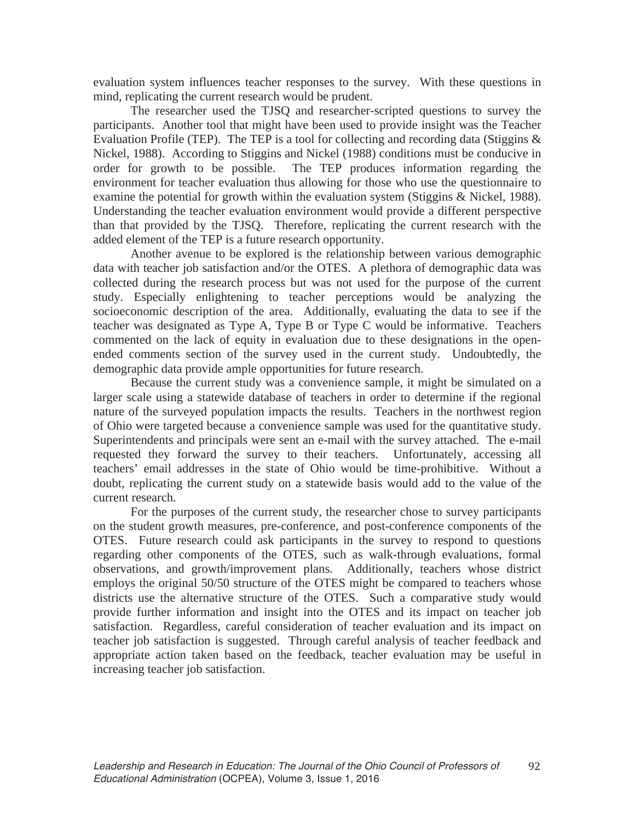evaluation system influences teacher responses to the survey. With these questions in mind, replicating the current research would be prudent.

The researcher used the TJSQ and researcher-scripted questions to survey the participants. Another tool that might have been used to provide insight was the Teacher Evaluation Profile (TEP). The TEP is a tool for collecting and recording data (Stiggins & Nickel, 1988). According to Stiggins and Nickel (1988) conditions must be conducive in order for growth to be possible. The TEP produces information regarding the environment for teacher evaluation thus allowing for those who use the questionnaire to examine the potential for growth within the evaluation system (Stiggins & Nickel, 1988). Understanding the teacher evaluation environment would provide a different perspective than that provided by the TJSQ. Therefore, replicating the current research with the added element of the TEP is a future research opportunity.

Another avenue to be explored is the relationship between various demographic data with teacher job satisfaction and/or the OTES. A plethora of demographic data was collected during the research process but was not used for the purpose of the current study. Especially enlightening to teacher perceptions would be analyzing the socioeconomic description of the area. Additionally, evaluating the data to see if the teacher was designated as Type A, Type B or Type C would be informative. Teachers commented on the lack of equity in evaluation due to these designations in the openended comments section of the survey used in the current study. Undoubtedly, the demographic data provide ample opportunities for future research.

Because the current study was a convenience sample, it might be simulated on a larger scale using a statewide database of teachers in order to determine if the regional nature of the surveyed population impacts the results. Teachers in the northwest region of Ohio were targeted because a convenience sample was used for the quantitative study. Superintendents and principals were sent an e-mail with the survey attached. The e-mail requested they forward the survey to their teachers. Unfortunately, accessing all teachers' email addresses in the state of Ohio would be time-prohibitive. Without a doubt, replicating the current study on a statewide basis would add to the value of the current research.

For the purposes of the current study, the researcher chose to survey participants on the student growth measures, pre-conference, and post-conference components of the OTES. Future research could ask participants in the survey to respond to questions regarding other components of the OTES, such as walk-through evaluations, formal observations, and growth/improvement plans. Additionally, teachers whose district employs the original 50/50 structure of the OTES might be compared to teachers whose districts use the alternative structure of the OTES. Such a comparative study would provide further information and insight into the OTES and its impact on teacher job satisfaction. Regardless, careful consideration of teacher evaluation and its impact on teacher job satisfaction is suggested. Through careful analysis of teacher feedback and appropriate action taken based on the feedback, teacher evaluation may be useful in increasing teacher job satisfaction.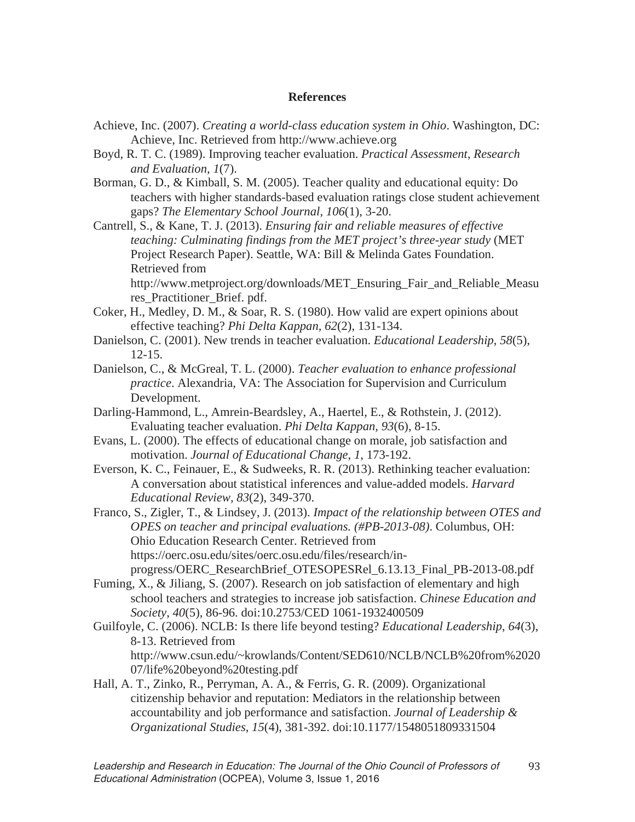### **References**

- Achieve, Inc. (2007). *Creating a world-class education system in Ohio*. Washington, DC: Achieve, Inc. Retrieved from http://www.achieve.org
- Boyd, R. T. C. (1989). Improving teacher evaluation. *Practical Assessment, Research and Evaluation, 1*(7).

Borman, G. D., & Kimball, S. M. (2005). Teacher quality and educational equity: Do teachers with higher standards-based evaluation ratings close student achievement gaps? *The Elementary School Journal, 106*(1), 3-20.

Cantrell, S., & Kane, T. J. (2013). *Ensuring fair and reliable measures of effective teaching: Culminating findings from the MET project's three-year study* (MET Project Research Paper). Seattle, WA: Bill & Melinda Gates Foundation. Retrieved from

http://www.metproject.org/downloads/MET\_Ensuring\_Fair\_and\_Reliable\_Measu res\_Practitioner\_Brief. pdf.

- Coker, H., Medley, D. M., & Soar, R. S. (1980). How valid are expert opinions about effective teaching? *Phi Delta Kappan, 62*(2), 131-134.
- Danielson, C. (2001). New trends in teacher evaluation. *Educational Leadership*, *58*(5), 12-15.
- Danielson, C., & McGreal, T. L. (2000). *Teacher evaluation to enhance professional practice*. Alexandria, VA: The Association for Supervision and Curriculum Development.
- Darling-Hammond, L., Amrein-Beardsley, A., Haertel, E., & Rothstein, J. (2012). Evaluating teacher evaluation. *Phi Delta Kappan, 93*(6), 8-15.
- Evans, L. (2000). The effects of educational change on morale, job satisfaction and motivation. *Journal of Educational Change*, *1*, 173-192.
- Everson, K. C., Feinauer, E., & Sudweeks, R. R. (2013). Rethinking teacher evaluation: A conversation about statistical inferences and value-added models. *Harvard Educational Review, 83*(2), 349-370.
- Franco, S., Zigler, T., & Lindsey, J. (2013). *Impact of the relationship between OTES and OPES on teacher and principal evaluations. (#PB-2013-08)*. Columbus, OH: Ohio Education Research Center. Retrieved from https://oerc.osu.edu/sites/oerc.osu.edu/files/research/inprogress/OERC\_ResearchBrief\_OTESOPESRel\_6.13.13\_Final\_PB-2013-08.pdf
- Fuming, X., & Jiliang, S. (2007). Research on job satisfaction of elementary and high school teachers and strategies to increase job satisfaction. *Chinese Education and Society*, *40*(5), 86-96. doi:10.2753/CED 1061-1932400509
- Guilfoyle, C. (2006). NCLB: Is there life beyond testing? *Educational Leadership*, *64*(3), 8-13. Retrieved from http://www.csun.edu/~krowlands/Content/SED610/NCLB/NCLB%20from%2020 07/life%20beyond%20testing.pdf
- Hall, A. T., Zinko, R., Perryman, A. A., & Ferris, G. R. (2009). Organizational citizenship behavior and reputation: Mediators in the relationship between accountability and job performance and satisfaction. *Journal of Leadership & Organizational Studies*, *15*(4), 381-392. doi:10.1177/1548051809331504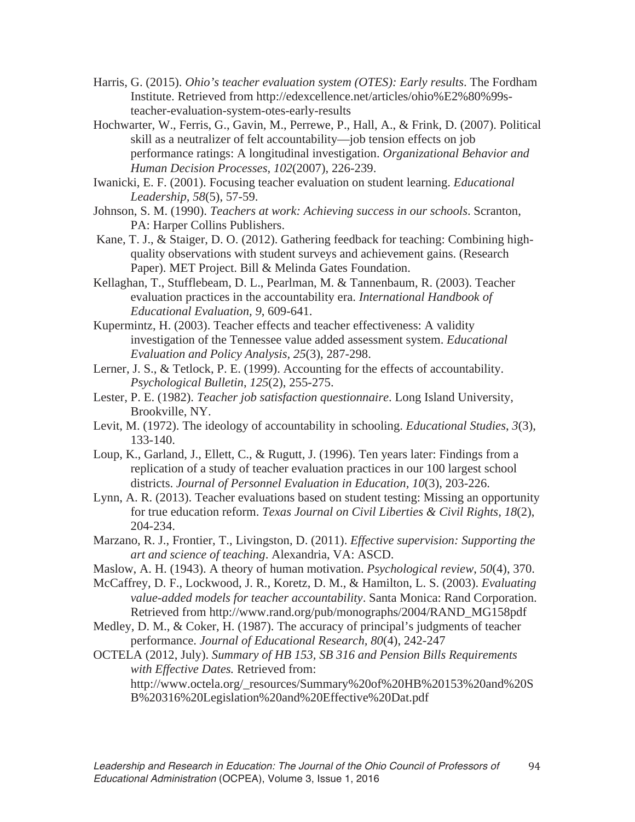- Harris, G. (2015). *Ohio's teacher evaluation system (OTES): Early results*. The Fordham Institute. Retrieved from http://edexcellence.net/articles/ohio%E2%80%99steacher-evaluation-system-otes-early-results
- Hochwarter, W., Ferris, G., Gavin, M., Perrewe, P., Hall, A., & Frink, D. (2007). Political skill as a neutralizer of felt accountability—job tension effects on job performance ratings: A longitudinal investigation. *Organizational Behavior and Human Decision Processes*, *102*(2007), 226-239.
- Iwanicki, E. F. (2001). Focusing teacher evaluation on student learning. *Educational Leadership, 58*(5), 57-59.
- Johnson, S. M. (1990). *Teachers at work: Achieving success in our schools*. Scranton, PA: Harper Collins Publishers.
- Kane, T. J., & Staiger, D. O. (2012). Gathering feedback for teaching: Combining highquality observations with student surveys and achievement gains. (Research Paper). MET Project. Bill & Melinda Gates Foundation.
- Kellaghan, T., Stufflebeam, D. L., Pearlman, M. & Tannenbaum, R. (2003). Teacher evaluation practices in the accountability era. *International Handbook of Educational Evaluation, 9*, 609-641.
- Kupermintz, H. (2003). Teacher effects and teacher effectiveness: A validity investigation of the Tennessee value added assessment system. *Educational Evaluation and Policy Analysis, 25*(3), 287-298.
- Lerner, J. S., & Tetlock, P. E. (1999). Accounting for the effects of accountability. *Psychological Bulletin*, *125*(2), 255-275.
- Lester, P. E. (1982). *Teacher job satisfaction questionnaire*. Long Island University, Brookville, NY.
- Levit, M. (1972). The ideology of accountability in schooling. *Educational Studies*, *3*(3), 133-140.
- Loup, K., Garland, J., Ellett, C., & Rugutt, J. (1996). Ten years later: Findings from a replication of a study of teacher evaluation practices in our 100 largest school districts. *Journal of Personnel Evaluation in Education, 10*(3), 203-226.
- Lynn, A. R. (2013). Teacher evaluations based on student testing: Missing an opportunity for true education reform. *Texas Journal on Civil Liberties & Civil Rights, 18*(2), 204-234.
- Marzano, R. J., Frontier, T., Livingston, D. (2011). *Effective supervision: Supporting the art and science of teaching*. Alexandria, VA: ASCD.
- Maslow, A. H. (1943). A theory of human motivation. *Psychological review*, *50*(4), 370.
- McCaffrey, D. F., Lockwood, J. R., Koretz, D. M., & Hamilton, L. S. (2003). *Evaluating value-added models for teacher accountability*. Santa Monica: Rand Corporation. Retrieved from http://www.rand.org/pub/monographs/2004/RAND\_MG158pdf
- Medley, D. M., & Coker, H. (1987). The accuracy of principal's judgments of teacher performance. *Journal of Educational Research, 80*(4), 242-247
- OCTELA (2012, July). *Summary of HB 153, SB 316 and Pension Bills Requirements with Effective Dates.* Retrieved from:
	- http://www.octela.org/\_resources/Summary%20of%20HB%20153%20and%20S B%20316%20Legislation%20and%20Effective%20Dat.pdf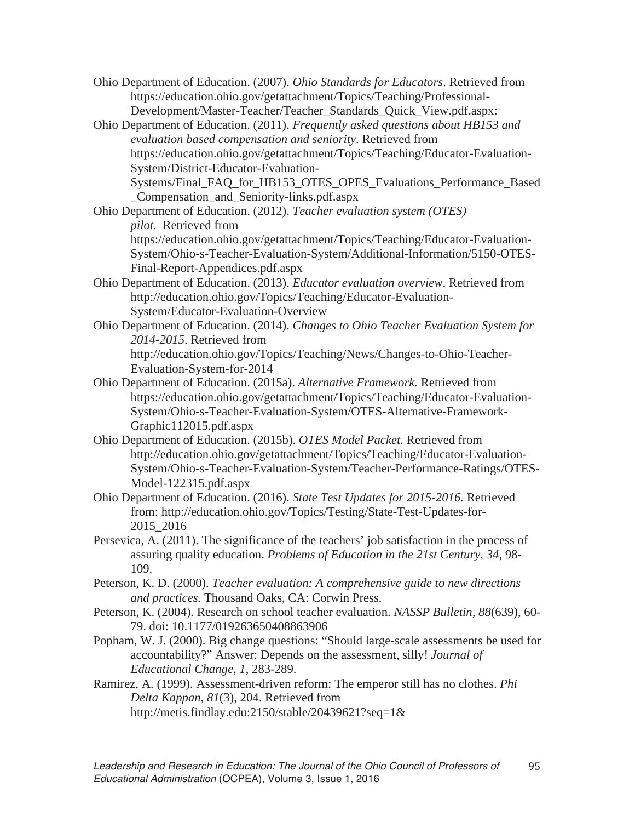Ohio Department of Education. (2007). *Ohio Standards for Educators*. Retrieved from https://education.ohio.gov/getattachment/Topics/Teaching/Professional-Development/Master-Teacher/Teacher\_Standards\_Quick\_View.pdf.aspx:

Ohio Department of Education. (2011). *Frequently asked questions about HB153 and evaluation based compensation and seniority*. Retrieved from https://education.ohio.gov/getattachment/Topics/Teaching/Educator-Evaluation-System/District-Educator-Evaluation-Systems/Final\_FAQ\_for\_HB153\_OTES\_OPES\_Evaluations\_Performance\_Based

\_Compensation\_and\_Seniority-links.pdf.aspx Ohio Department of Education. (2012). *Teacher evaluation system (OTES) pilot.* Retrieved from

https://education.ohio.gov/getattachment/Topics/Teaching/Educator-Evaluation-System/Ohio-s-Teacher-Evaluation-System/Additional-Information/5150-OTES-Final-Report-Appendices.pdf.aspx

- Ohio Department of Education. (2013). *Educator evaluation overview*. Retrieved from http://education.ohio.gov/Topics/Teaching/Educator-Evaluation-System/Educator-Evaluation-Overview
- Ohio Department of Education. (2014). *Changes to Ohio Teacher Evaluation System for 2014-2015*. Retrieved from http://education.ohio.gov/Topics/Teaching/News/Changes-to-Ohio-Teacher-
- Evaluation-System-for-2014 Ohio Department of Education. (2015a). *Alternative Framework.* Retrieved from https://education.ohio.gov/getattachment/Topics/Teaching/Educator-Evaluation-System/Ohio-s-Teacher-Evaluation-System/OTES-Alternative-Framework-Graphic112015.pdf.aspx
- Ohio Department of Education. (2015b). *OTES Model Packet.* Retrieved from http://education.ohio.gov/getattachment/Topics/Teaching/Educator-Evaluation-System/Ohio-s-Teacher-Evaluation-System/Teacher-Performance-Ratings/OTES-Model-122315.pdf.aspx
- Ohio Department of Education. (2016). *State Test Updates for 2015-2016.* Retrieved from: http://education.ohio.gov/Topics/Testing/State-Test-Updates-for-2015\_2016
- Persevica, A. (2011). The significance of the teachers' job satisfaction in the process of assuring quality education. *Problems of Education in the 21st Century*, *34*, 98- 109.
- Peterson, K. D. (2000). *Teacher evaluation: A comprehensive guide to new directions and practices.* Thousand Oaks, CA: Corwin Press.

Peterson, K. (2004). Research on school teacher evaluation. *NASSP Bulletin, 88*(639), 60- 79. doi: 10.1177/019263650408863906

- Popham, W. J. (2000). Big change questions: "Should large-scale assessments be used for accountability?" Answer: Depends on the assessment, silly! *Journal of Educational Change*, *1*, 283-289.
- Ramirez, A. (1999). Assessment-driven reform: The emperor still has no clothes. *Phi Delta Kappan*, *81*(3), 204. Retrieved from http://metis.findlay.edu:2150/stable/20439621?seq=1&